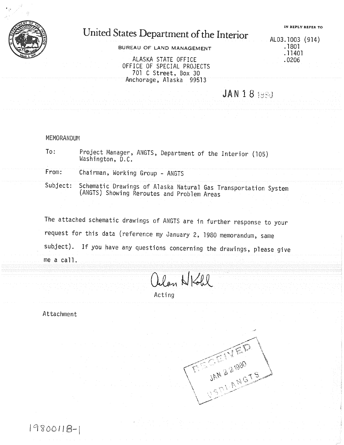

## United States Department of the Interior

BUREAU OF LAND MANAGEMENT

ALASKA STATE OFFICE .0206 OFFICE OF SPECIAL PROJECTS 701 C Street, Box 30 Anchorage, Alaska 99513

**JAN 181980** 

## MEMORANDUM

To: Project Manager, ANGTS, Department of the Interior (105) Washington, D.C.

From: Chairman, Working Group - ANGTS

Subject: Schematic Drawings of Alaska Natural Gas Transportation System<br>(ANGTS) Showing Reroutes and Problem Areas

The attached schematic drawings of ANGTS are in further response to your request for this data (reference my January 2, 1980 memorandum, same subject). If you have any questions concerning the drawings, please give  $me$  a call.

Olan NKohl

Acting

Attachment

19800118-1

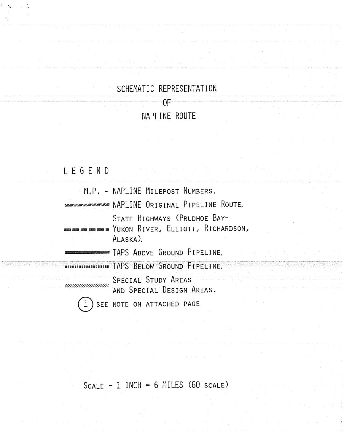## SCHEMATIC REPRESENTATION

OF

## NAPLINE ROUTE

| LEGEND |                                                                                                |
|--------|------------------------------------------------------------------------------------------------|
|        | M.P. - NAPLINE MILEPOST NUMBERS.                                                               |
|        | <i><b>TELEVISION</b></i> NAPLINE ORIGINAL PIPELINE ROUTE.                                      |
|        | STATE HIGHWAYS (PRUDHOE BAY-<br><b>See &amp; YUKON RIVER, ELLIOTT, RICHARDSON,</b><br>ALASKA). |
|        | TAPS ABOVE GROUND PIPELINE.                                                                    |
|        | DOCUTIONS THAPS BELOW GROUND PIPELINE.                                                         |
|        | SPECIAL STUDY AREAS<br>AND SPECIAL DESIGN AREAS.                                               |
|        | SEE NOTE ON ATTACHED PAGE                                                                      |

 $SCALE - 1 INCH = 6 MILES (60 SCALE)$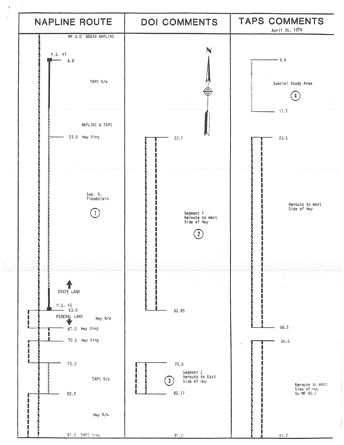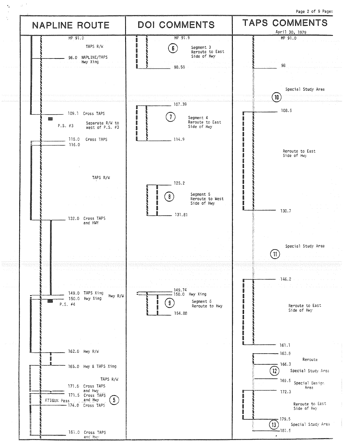Page 2 of 9 Pages NAPLINE ROUTE | DOI COMMENTS | TAPS COMMENTS \_\_\_\_\_\_\_\_\_\_\_\_\_\_\_\_\_\_\_\_\_\_\_\_\_\_\_\_\_\_\_\_\_\_\_ \_\_\_\_\_\_\_\_\_\_\_\_\_\_\_\_\_\_\_\_\_\_\_\_\_\_\_\_\_\_\_\_\_\_\_\_ \_\_\_\_\_\_\_ April <sup>30</sup> <sup>1979</sup> MP 91.0 MP 91.9 MP 91.0 TAPS R/W  $\begin{array}{c} \begin{array}{ccc} \mathbb{B} & \mathbb{R} & \mathbb{S} \\ \mathbb{B} & \mathbb{R} & \mathbb{S} \end{array} & \begin{array}{ccc} \mathbb{S} & \mathbb{S} & \mathbb{S} \end{array} & \mathbb{S} & \mathbb{S} \end{array} & \begin{array}{c} \mathbb{S} & \mathbb{S} & \mathbb{S} \end{array} & \begin{array}{c} \mathbb{S} & \mathbb{S} & \mathbb{S} \end{array} & \begin{array}{c} \mathbb{S} & \mathbb{S} & \mathbb{S} \end{array}$ \.\_ Reroute to East 96.0 NAPLINE/TAPS **Side of Hwy**<br>Side of Hwy Xing Hwy Xing \_\_\_\_\_\_\_\_\_\_\_\_\_\_ 98.58 \_\_\_\_\_\_\_\_\_\_ <sup>98</sup> Special Study Area  $10$ \_\_\_\_\_\_\_\_\_\_\_\_\_\_\_ 107.39  $108.5$ \_\_\_\_\_\_\_\_\_\_\_\_\_ 109.1 Cross TAPS (1) Segment 4<br>Reroute to East<br>Side of Hwy **Control [漢]** P.S. #3 Separate R/W to Reform to East Reforme to East Reforme to East Reformed Reformed Reformed Reformed Reformed R<br>P.S. #3 West of P.S. #3 Reformed Reformed Reformed Reformed Reformed Reformed Reformed Reformed Reformed l. ĵ Î ł 115.0 Cross TAPS \_\_\_\_\_\_\_\_\_\_\_\_\_\_\_ 114.9 Î 116.0 p ł Reroute to East ĵ Side of Hwy Ī l **STORED B** TAPS R/W \_\_\_\_\_\_\_\_\_\_\_ 125.2 H **Signal** 8 Segment 5  $\left[ \begin{array}{c} 8 \end{array} \right]$ l **Base** Reroute to Wes<br>Side of Hwy I I K 130.7 I 131.81 132.0 Cross TAPS and HWY Special Study Area  $(11)$ 146.2 ments because \_\_\_\_\_\_\_\_\_\_\_\_\_\_\_ 149.74 149.0 TAPS Xing Hwy R/W  $\left\lceil \frac{150.0}{\sqrt{100}} \right\rceil$  Hwy Xing **Service** 150.0 Hwy Xing 网络 Segment 6<br>Reroute to Hwy P.S. #4 **Definition** Reroute to East Reroute to East Reroute to East Reroute to East Reroute to East<br>Side of Hwy f. 154.88 I i. **CONTROL** Î i 161.1  $162.0$  Hwy R/W  $_{\text{New}}$  163.8 H Reroute  $-166.3$ 165.0 Hwy & TAPS Xing **A 446666666688**  $\binom{12}{ }$ Special Study Area TAPS R/W <br>
169.5 Special Design (169.5 Special Design) 171.0 Cross TAPS and the contract of the contract of the contract of the contract of the contract of the contra<br>Area and Hwy<br>and Hwy<br>171.5 Cross TAPS 172.3 i<br>i<br>i ATIGUN Pass and Hwy  $\frac{174.0 \text{ cm}}{174.0 \text{ Cross} \cdot 174.8}$  (5) Reroute to East<br>Side of Hwy **Record**  $-179.5$  $(13)$ Special Study Area  $-18$ .5 181.0 Cross TAPS<br>and Hwy ano H\ \_\_\_\_\_\_\_\_\_\_\_\_\_\_\_\_\_\_\_\_\_\_\_\_\_\_\_\_\_\_\_\_\_\_\_\_\_\_\_\_\_\_\_\_\_\_\_\_\_\_\_

 $\mathcal{A}^{\pm}$ 

٠.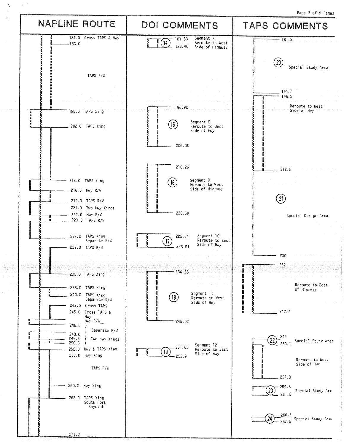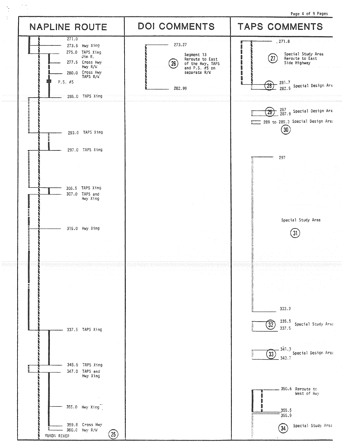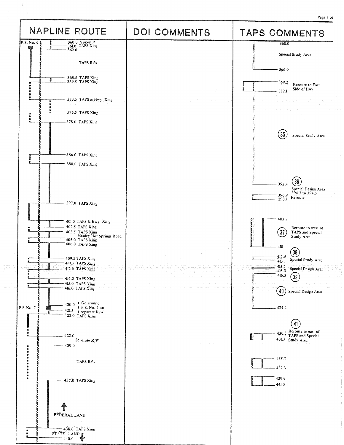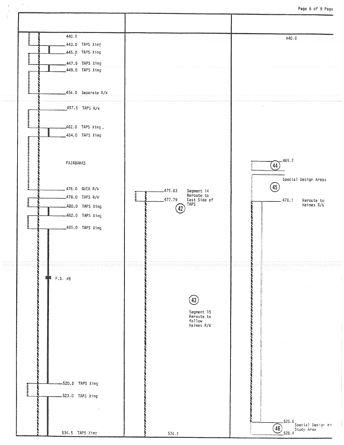Page 6 of 9 Page

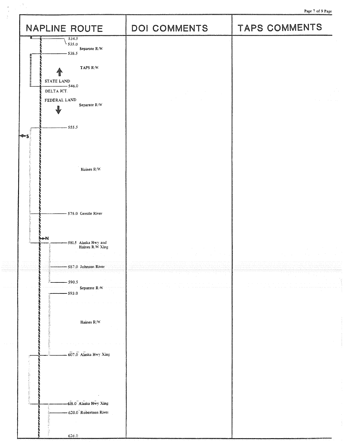Page 7 of 9 Page

| NAPLINE ROUTE                                                                                                                                                                                                                                         | DOI COMMENTS                                                                                                                                                                                           | Page 7 of 9 Page<br>TAPS COMMENTS |
|-------------------------------------------------------------------------------------------------------------------------------------------------------------------------------------------------------------------------------------------------------|--------------------------------------------------------------------------------------------------------------------------------------------------------------------------------------------------------|-----------------------------------|
| 534.5<br>535.0<br>Separate $\mathbb{R}/\mathbb{W}$                                                                                                                                                                                                    |                                                                                                                                                                                                        |                                   |
| $-538.5$<br>,,,,,,,,,,,,,,,,,<br>TAPS R/W<br>个<br>STATE LAND<br>$-546.0$<br>DELTA JCT.                                                                                                                                                                |                                                                                                                                                                                                        |                                   |
| FEDERAL LAND<br>Separate R/W<br>J<br>$-555.5$                                                                                                                                                                                                         | $\label{eq:2.1} \begin{split} \mathcal{L}_{\text{max}}(\mathcal{L}_{\text{max}}) = \mathcal{L}_{\text{max}}(\mathcal{L}_{\text{max}}) \end{split}$                                                     |                                   |
| しんこうしん<br>⊲≛∞ Տ<br>かんきょう たいたいかん しんじんかい ちょうしょう<br>Haines $\rm R/W$                                                                                                                                                                                     |                                                                                                                                                                                                        |                                   |
| on an and complete the complete complete complete the complete complete the complete complete the complete complete the complete complete the complete complete complete the complete complete complete complete complete comp<br>575.0 Gerstle River |                                                                                                                                                                                                        |                                   |
| <b>N-M</b><br>-581.5 Alaska Hwy and<br>Haines R/W Xing<br>587.0 Johnson River                                                                                                                                                                         | $\label{eq:2.1} \begin{split} \mathcal{F}^{(1)}_{\text{max}} &= \mathcal{F}^{(1)}_{\text{max}}\,,\\ \mathcal{F}^{(2)}_{\text{max}} &= \mathcal{F}^{(1)}_{\text{max}}\,, \end{split}$<br><b>College</b> | 医牙腔 医阿尔伯氏征 医无线<br>$\sim 10^7$     |
| $-590.5$<br>Separate R/W<br>$-593.0$                                                                                                                                                                                                                  |                                                                                                                                                                                                        |                                   |
| Haines $\rm R/W$                                                                                                                                                                                                                                      |                                                                                                                                                                                                        |                                   |
| 607.0 Alaska Hwy Xing                                                                                                                                                                                                                                 |                                                                                                                                                                                                        |                                   |
| -618.0 Alaska Hwy Xing<br>620.0 Robertson River<br>626.0                                                                                                                                                                                              |                                                                                                                                                                                                        |                                   |